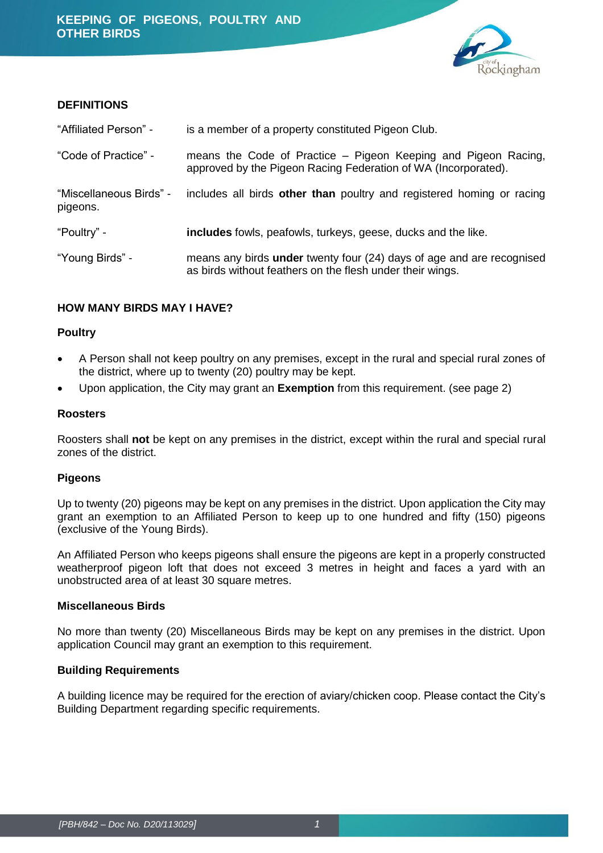

#### **DEFINITIONS**

| "Affiliated Person" -               | is a member of a property constituted Pigeon Club.                                                                                        |  |
|-------------------------------------|-------------------------------------------------------------------------------------------------------------------------------------------|--|
| "Code of Practice" -                | means the Code of Practice – Pigeon Keeping and Pigeon Racing,<br>approved by the Pigeon Racing Federation of WA (Incorporated).          |  |
| "Miscellaneous Birds" -<br>pigeons. | includes all birds other than poultry and registered homing or racing                                                                     |  |
| "Poultry" -                         | <b>includes</b> fowls, peafowls, turkeys, geese, ducks and the like.                                                                      |  |
| "Young Birds" -                     | means any birds <b>under</b> twenty four (24) days of age and are recognised<br>as birds without feathers on the flesh under their wings. |  |

## **HOW MANY BIRDS MAY I HAVE?**

#### **Poultry**

- A Person shall not keep poultry on any premises, except in the rural and special rural zones of the district, where up to twenty (20) poultry may be kept.
- Upon application, the City may grant an **Exemption** from this requirement. (see page 2)

#### **Roosters**

Roosters shall **not** be kept on any premises in the district, except within the rural and special rural zones of the district.

#### **Pigeons**

Up to twenty (20) pigeons may be kept on any premises in the district. Upon application the City may grant an exemption to an Affiliated Person to keep up to one hundred and fifty (150) pigeons (exclusive of the Young Birds).

An Affiliated Person who keeps pigeons shall ensure the pigeons are kept in a properly constructed weatherproof pigeon loft that does not exceed 3 metres in height and faces a yard with an unobstructed area of at least 30 square metres.

#### **Miscellaneous Birds**

No more than twenty (20) Miscellaneous Birds may be kept on any premises in the district. Upon application Council may grant an exemption to this requirement.

#### **Building Requirements**

A building licence may be required for the erection of aviary/chicken coop. Please contact the City's Building Department regarding specific requirements.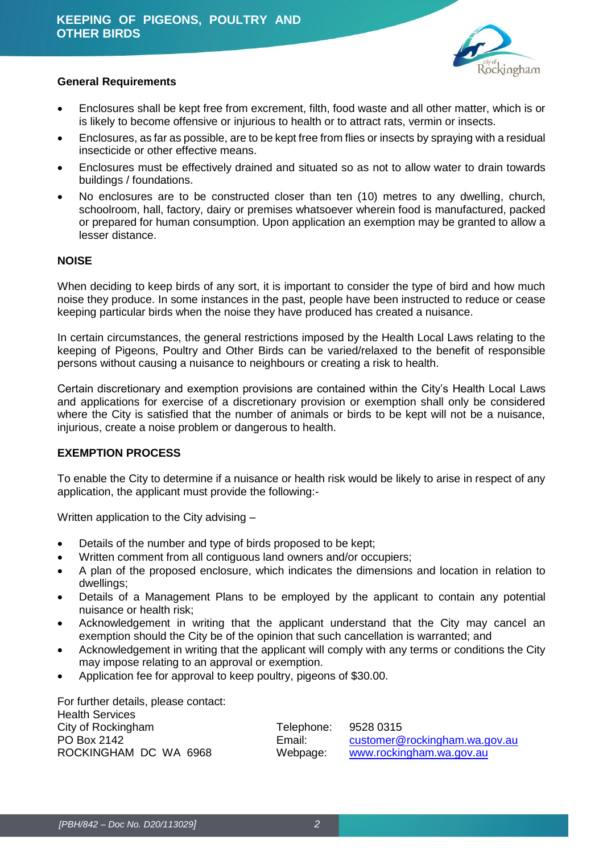

#### **General Requirements**

- Enclosures shall be kept free from excrement, filth, food waste and all other matter, which is or is likely to become offensive or injurious to health or to attract rats, vermin or insects.
- Enclosures, as far as possible, are to be kept free from flies or insects by spraying with a residual insecticide or other effective means.
- Enclosures must be effectively drained and situated so as not to allow water to drain towards buildings / foundations.
- No enclosures are to be constructed closer than ten (10) metres to any dwelling, church, schoolroom, hall, factory, dairy or premises whatsoever wherein food is manufactured, packed or prepared for human consumption. Upon application an exemption may be granted to allow a lesser distance.

## **NOISE**

When deciding to keep birds of any sort, it is important to consider the type of bird and how much noise they produce. In some instances in the past, people have been instructed to reduce or cease keeping particular birds when the noise they have produced has created a nuisance.

In certain circumstances, the general restrictions imposed by the Health Local Laws relating to the keeping of Pigeons, Poultry and Other Birds can be varied/relaxed to the benefit of responsible persons without causing a nuisance to neighbours or creating a risk to health.

Certain discretionary and exemption provisions are contained within the City's Health Local Laws and applications for exercise of a discretionary provision or exemption shall only be considered where the City is satisfied that the number of animals or birds to be kept will not be a nuisance, injurious, create a noise problem or dangerous to health.

## **EXEMPTION PROCESS**

To enable the City to determine if a nuisance or health risk would be likely to arise in respect of any application, the applicant must provide the following:-

Written application to the City advising –

- Details of the number and type of birds proposed to be kept;
- Written comment from all contiguous land owners and/or occupiers;
- A plan of the proposed enclosure, which indicates the dimensions and location in relation to dwellings;
- Details of a Management Plans to be employed by the applicant to contain any potential nuisance or health risk;
- Acknowledgement in writing that the applicant understand that the City may cancel an exemption should the City be of the opinion that such cancellation is warranted; and
- Acknowledgement in writing that the applicant will comply with any terms or conditions the City may impose relating to an approval or exemption.
- Application fee for approval to keep poultry, pigeons of \$30.00.

For further details, please contact: Health Services City of Rockingham Telephone: 9528 0315

PO Box 2142 **Email:** Customer@rockingham.wa.gov.au ROCKINGHAM DC WA 6968 Webpage: [www.rockingham.wa.gov.au](http://www.rockingham.wa.gov.au/)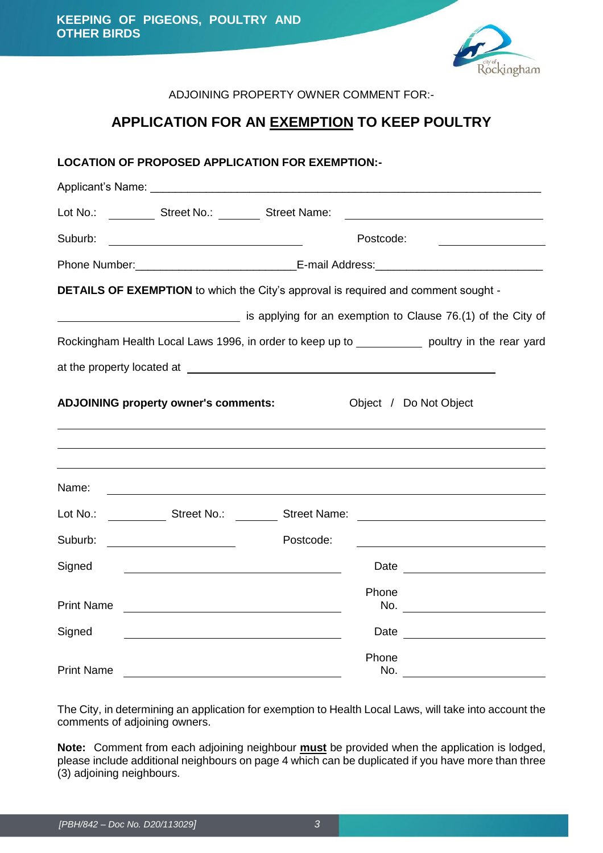

## ADJOINING PROPERTY OWNER COMMENT FOR:-

# **APPLICATION FOR AN EXEMPTION TO KEEP POULTRY**

## **LOCATION OF PROPOSED APPLICATION FOR EXEMPTION:-**

|                   | Lot No.: _______________ Street No.: ___________ Street Name: |                          |                                                                                                                      |  |  |
|-------------------|---------------------------------------------------------------|--------------------------|----------------------------------------------------------------------------------------------------------------------|--|--|
| Suburb:           | <u> 1980 - John Stone, amerikansk politiker (</u> † 19        |                          | Postcode:                                                                                                            |  |  |
|                   |                                                               |                          |                                                                                                                      |  |  |
|                   |                                                               |                          | <b>DETAILS OF EXEMPTION</b> to which the City's approval is required and comment sought -                            |  |  |
|                   |                                                               |                          | is applying for an exemption to Clause 76.(1) of the City of                                                         |  |  |
|                   |                                                               |                          | Rockingham Health Local Laws 1996, in order to keep up to _____________ poultry in the rear yard                     |  |  |
|                   |                                                               |                          |                                                                                                                      |  |  |
|                   | <b>ADJOINING property owner's comments:</b>                   |                          | Object / Do Not Object                                                                                               |  |  |
| Name:             |                                                               |                          |                                                                                                                      |  |  |
| Lot No.:          |                                                               | Street No.: Street Name: | <u> 1980 - Jan Samuel Barbara, martin di sebagai personal di sebagai personal di sebagai personal di sebagai per</u> |  |  |
| Suburb:           |                                                               | Postcode:                |                                                                                                                      |  |  |
| Signed            |                                                               |                          | Date <u>____________________</u>                                                                                     |  |  |
| <b>Print Name</b> |                                                               |                          | Phone                                                                                                                |  |  |
| Signed            |                                                               |                          | Date <u>________________</u>                                                                                         |  |  |
| <b>Print Name</b> |                                                               |                          | Phone<br>No.                                                                                                         |  |  |

The City, in determining an application for exemption to Health Local Laws, will take into account the comments of adjoining owners.

**Note:** Comment from each adjoining neighbour **must** be provided when the application is lodged, please include additional neighbours on page 4 which can be duplicated if you have more than three (3) adjoining neighbours.